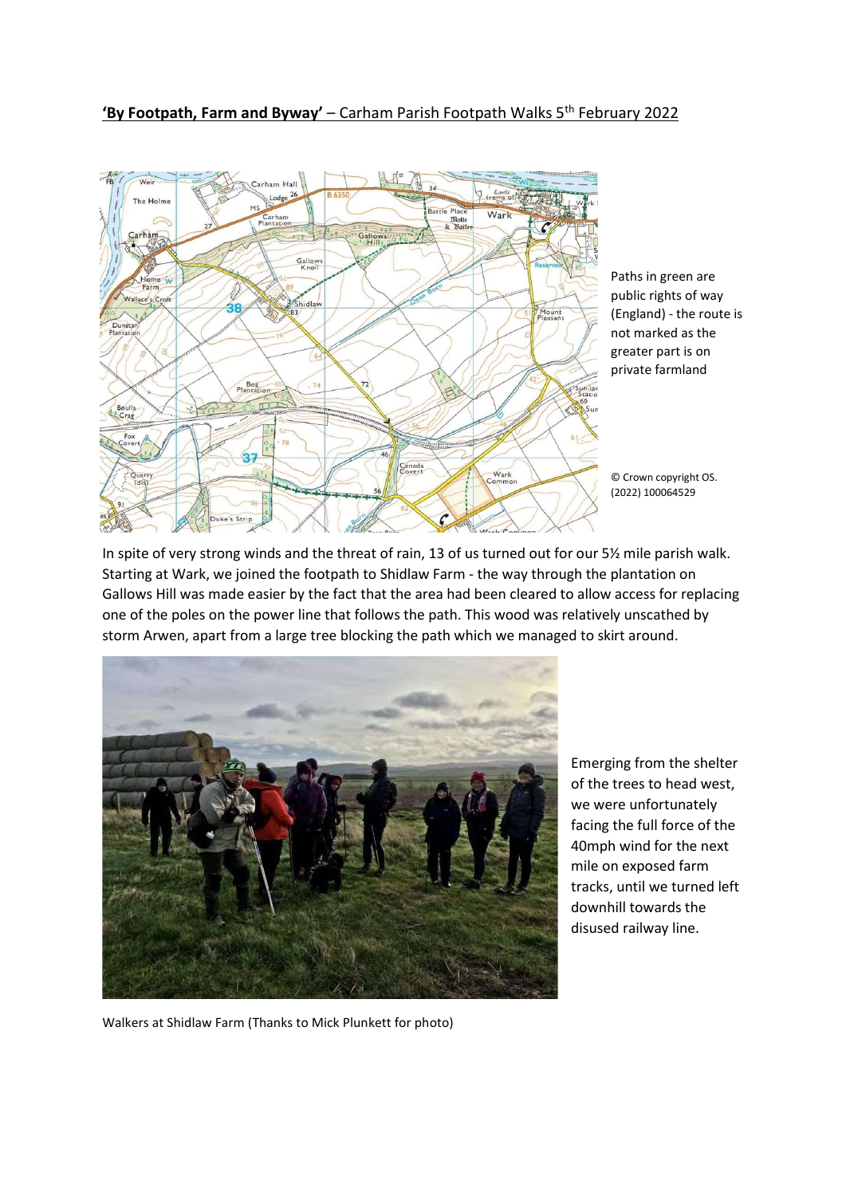

Paths in green are public rights of way (England) - the route is not marked as the greater part is on private farmland

© Crown copyright OS. (2022) 100064529

In spite of very strong winds and the threat of rain, 13 of us turned out for our 5½ mile parish walk. Starting at Wark, we joined the footpath to Shidlaw Farm - the way through the plantation on Gallows Hill was made easier by the fact that the area had been cleared to allow access for replacing one of the poles on the power line that follows the path. This wood was relatively unscathed by storm Arwen, apart from a large tree blocking the path which we managed to skirt around.



Emerging from the shelter of the trees to head west, we were unfortunately facing the full force of the 40mph wind for the next mile on exposed farm tracks, until we turned left downhill towards the disused railway line.

Walkers at Shidlaw Farm (Thanks to Mick Plunkett for photo)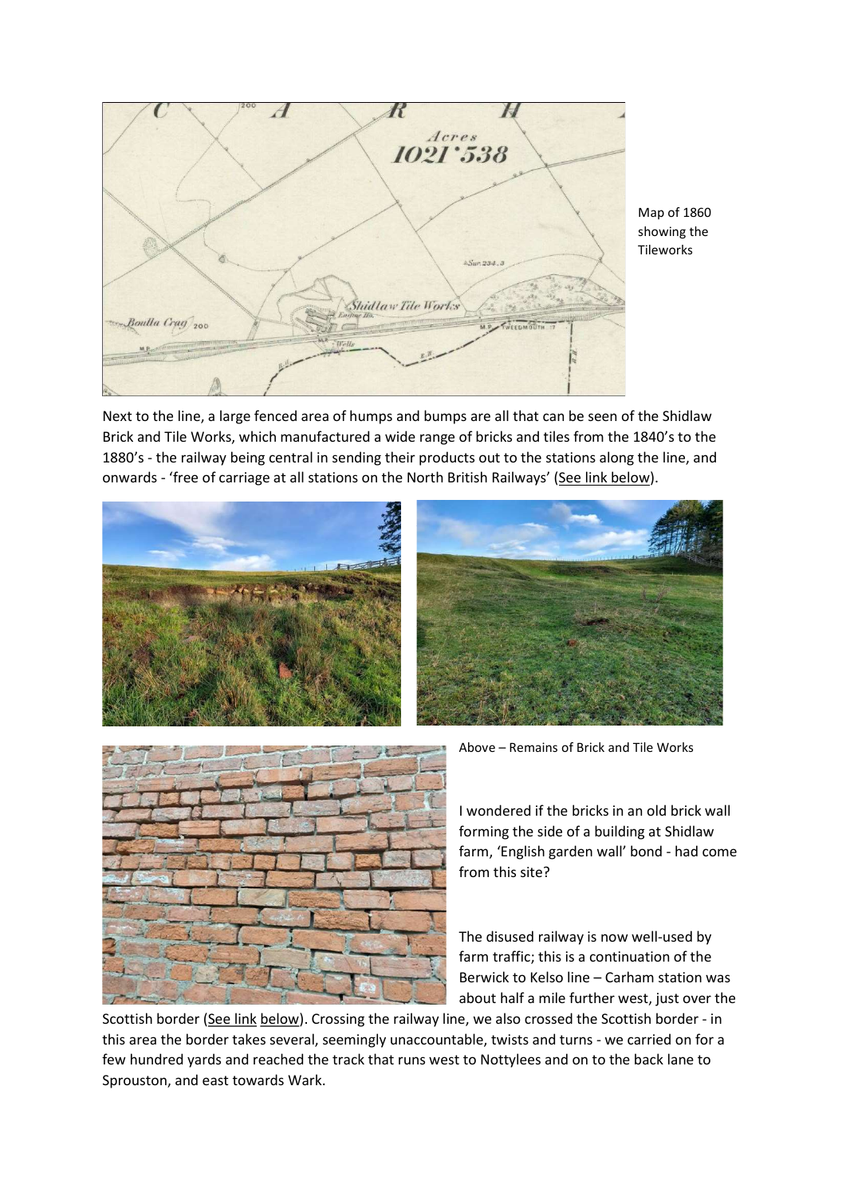$\boldsymbol{R}$  $\prime$  $\boldsymbol{d}$ Acres 1021'538 *Shidlaw Tile Works* Boulla Crag 200

Map of 1860 showing the **Tileworks** 

Next to the line, a large fenced area of humps and bumps are all that can be seen of the Shidlaw Brick and Tile Works, which manufactured a wide range of bricks and tiles from the 1840's to the 1880's - the railway being central in sending their products out to the stations along the line, and onwards - 'free of carriage at all stations on the North British Railways' (See link below).





Above – Remains of Brick and Tile Works

I wondered if the bricks in an old brick wall forming the side of a building at Shidlaw farm, 'English garden wall' bond - had come from this site?

The disused railway is now well-used by farm traffic; this is a continuation of the Berwick to Kelso line – Carham station was about half a mile further west, just over the

Scottish border (See link below). Crossing the railway line, we also crossed the Scottish border - in this area the border takes several, seemingly unaccountable, twists and turns - we carried on for a few hundred yards and reached the track that runs west to Nottylees and on to the back lane to Sprouston, and east towards Wark.